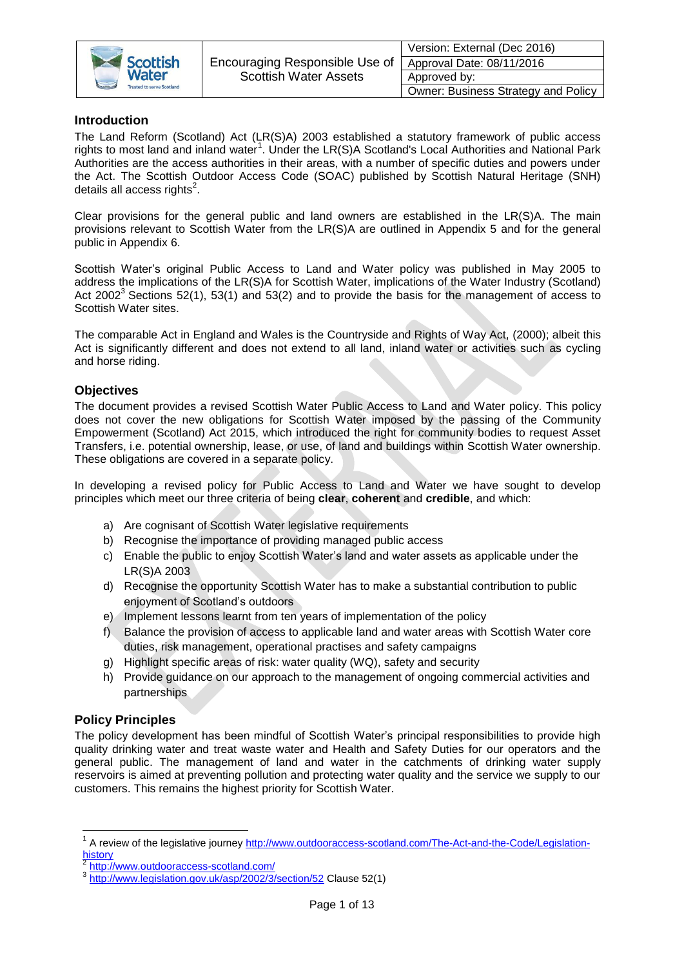

## **Introduction**

The Land Reform (Scotland) Act (LR(S)A) 2003 established a statutory framework of public access rights to most land and inland water<sup>1</sup>. Under the LR(S)A Scotland's Local Authorities and National Park Authorities are the access authorities in their areas, with a number of specific duties and powers under the Act. The Scottish Outdoor Access Code (SOAC) published by Scottish Natural Heritage (SNH) details all access rights<sup>2</sup>.

Clear provisions for the general public and land owners are established in the LR(S)A. The main provisions relevant to Scottish Water from the LR(S)A are outlined in Appendix 5 and for the general public in Appendix 6.

Scottish Water's original Public Access to Land and Water policy was published in May 2005 to address the implications of the LR(S)A for Scottish Water, implications of the Water Industry (Scotland) Act 2002<sup>3</sup> Sections 52(1), 53(1) and 53(2) and to provide the basis for the management of access to Scottish Water sites.

The comparable Act in England and Wales is the Countryside and Rights of Way Act, (2000); albeit this Act is significantly different and does not extend to all land, inland water or activities such as cycling and horse riding.

## **Objectives**

The document provides a revised Scottish Water Public Access to Land and Water policy. This policy does not cover the new obligations for Scottish Water imposed by the passing of the Community Empowerment (Scotland) Act 2015, which introduced the right for community bodies to request Asset Transfers, i.e. potential ownership, lease, or use, of land and buildings within Scottish Water ownership. These obligations are covered in a separate policy.

In developing a revised policy for Public Access to Land and Water we have sought to develop principles which meet our three criteria of being **clear**, **coherent** and **credible**, and which:

- a) Are cognisant of Scottish Water legislative requirements
- b) Recognise the importance of providing managed public access
- c) Enable the public to enjoy Scottish Water's land and water assets as applicable under the LR(S)A 2003
- d) Recognise the opportunity Scottish Water has to make a substantial contribution to public enjoyment of Scotland's outdoors
- e) Implement lessons learnt from ten years of implementation of the policy
- f) Balance the provision of access to applicable land and water areas with Scottish Water core duties, risk management, operational practises and safety campaigns
- g) Highlight specific areas of risk: water quality (WQ), safety and security
- h) Provide guidance on our approach to the management of ongoing commercial activities and partnerships

## **Policy Principles**

**.** 

The policy development has been mindful of Scottish Water's principal responsibilities to provide high quality drinking water and treat waste water and Health and Safety Duties for our operators and the general public. The management of land and water in the catchments of drinking water supply reservoirs is aimed at preventing pollution and protecting water quality and the service we supply to our customers. This remains the highest priority for Scottish Water.

<sup>&</sup>lt;sup>1</sup> A review of the legislative journey [http://www.outdooraccess-scotland.com/The-Act-and-the-Code/Legislation](http://www.outdooraccess-scotland.com/The-Act-and-the-Code/Legislation-history)[history](http://www.outdooraccess-scotland.com/The-Act-and-the-Code/Legislation-history)

<sup>2</sup> <http://www.outdooraccess-scotland.com/>

<sup>3</sup> <http://www.legislation.gov.uk/asp/2002/3/section/52> Clause 52(1)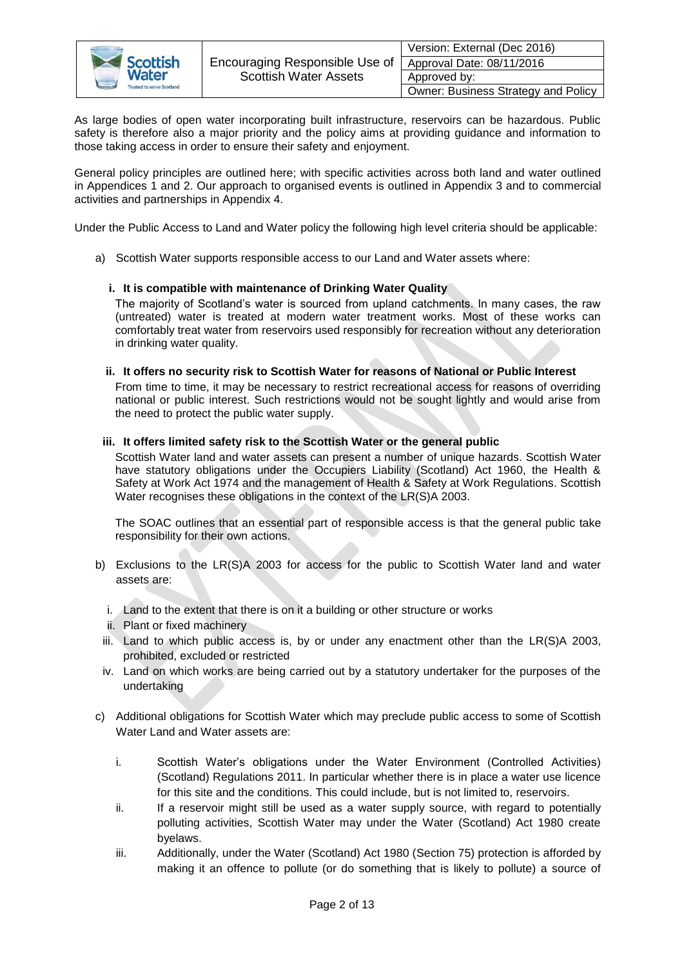

|        | Version: External (Dec 2016)        |
|--------|-------------------------------------|
| Jse of | Approval Date: 08/11/2016           |
|        | Approved by:                        |
|        | Owner: Business Strategy and Policy |

As large bodies of open water incorporating built infrastructure, reservoirs can be hazardous. Public safety is therefore also a major priority and the policy aims at providing guidance and information to those taking access in order to ensure their safety and enjoyment.

General policy principles are outlined here; with specific activities across both land and water outlined in Appendices 1 and 2. Our approach to organised events is outlined in Appendix 3 and to commercial activities and partnerships in Appendix 4.

Under the Public Access to Land and Water policy the following high level criteria should be applicable:

a) Scottish Water supports responsible access to our Land and Water assets where:

#### **i. It is compatible with maintenance of Drinking Water Quality**

The majority of Scotland's water is sourced from upland catchments. In many cases, the raw (untreated) water is treated at modern water treatment works. Most of these works can comfortably treat water from reservoirs used responsibly for recreation without any deterioration in drinking water quality.

#### **ii. It offers no security risk to Scottish Water for reasons of National or Public Interest**

From time to time, it may be necessary to restrict recreational access for reasons of overriding national or public interest. Such restrictions would not be sought lightly and would arise from the need to protect the public water supply.

#### **iii. It offers limited safety risk to the Scottish Water or the general public**

Scottish Water land and water assets can present a number of unique hazards. Scottish Water have statutory obligations under the Occupiers Liability (Scotland) Act 1960, the Health & Safety at Work Act 1974 and the management of Health & Safety at Work Regulations. Scottish Water recognises these obligations in the context of the LR(S)A 2003.

The SOAC outlines that an essential part of responsible access is that the general public take responsibility for their own actions.

- b) Exclusions to the LR(S)A 2003 for access for the public to Scottish Water land and water assets are:
	- i. Land to the extent that there is on it a building or other structure or works
	- ii. Plant or fixed machinery
	- iii. Land to which public access is, by or under any enactment other than the LR(S)A 2003, prohibited, excluded or restricted
	- iv. Land on which works are being carried out by a statutory undertaker for the purposes of the undertaking
- c) Additional obligations for Scottish Water which may preclude public access to some of Scottish Water Land and Water assets are:
	- i. Scottish Water's obligations under the Water Environment (Controlled Activities) (Scotland) Regulations 2011. In particular whether there is in place a water use licence for this site and the conditions. This could include, but is not limited to, reservoirs.
	- ii. If a reservoir might still be used as a water supply source, with regard to potentially polluting activities, Scottish Water may under the Water (Scotland) Act 1980 create byelaws.
	- iii. Additionally, under the Water (Scotland) Act 1980 (Section 75) protection is afforded by making it an offence to pollute (or do something that is likely to pollute) a source of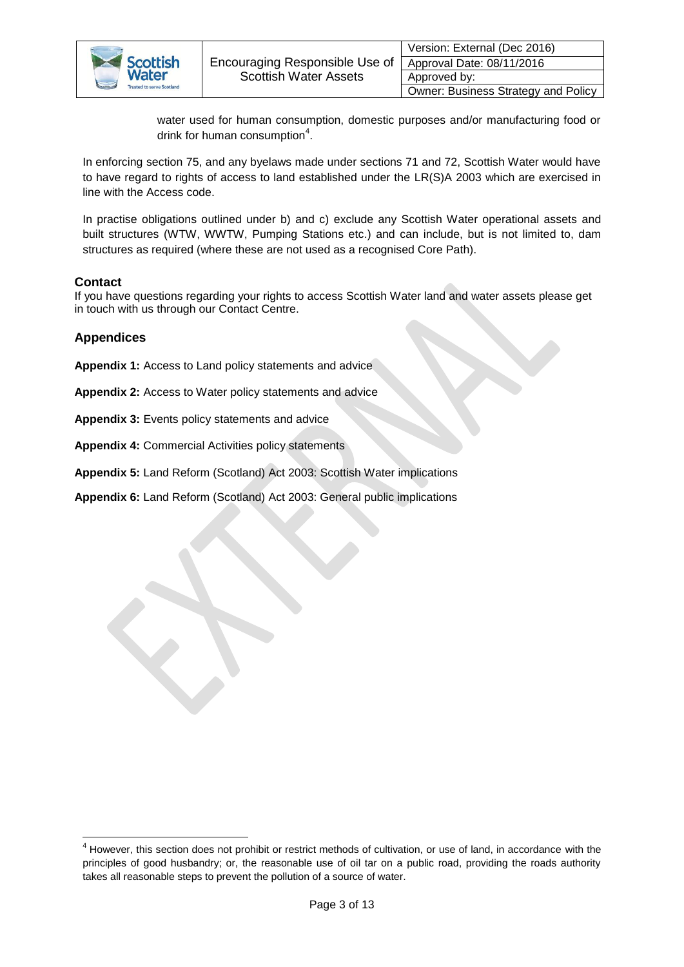

| Version: External (Dec 2016)        |
|-------------------------------------|
| Approval Date: 08/11/2016           |
| Approved by:                        |
| Owner: Business Strategy and Policy |

water used for human consumption, domestic purposes and/or manufacturing food or drink for human consumption<sup>4</sup>.

In enforcing section 75, and any byelaws made under sections 71 and 72, Scottish Water would have to have regard to rights of access to land established under the LR(S)A 2003 which are exercised in line with the Access code.

In practise obligations outlined under b) and c) exclude any Scottish Water operational assets and built structures (WTW, WWTW, Pumping Stations etc.) and can include, but is not limited to, dam structures as required (where these are not used as a recognised Core Path).

## **Contact**

If you have questions regarding your rights to access Scottish Water land and water assets please get in touch with us through our Contact Centre.

## **Appendices**

**Appendix 1:** Access to Land policy statements and advice

**Appendix 2:** Access to Water policy statements and advice

**Appendix 3:** Events policy statements and advice

**Appendix 4:** Commercial Activities policy statements

**Appendix 5:** Land Reform (Scotland) Act 2003: Scottish Water implications

**Appendix 6:** Land Reform (Scotland) Act 2003: General public implications

**<sup>.</sup>** <sup>4</sup> However, this section does not prohibit or restrict methods of cultivation, or use of land, in accordance with the principles of good husbandry; or, the reasonable use of oil tar on a public road, providing the roads authority takes all reasonable steps to prevent the pollution of a source of water.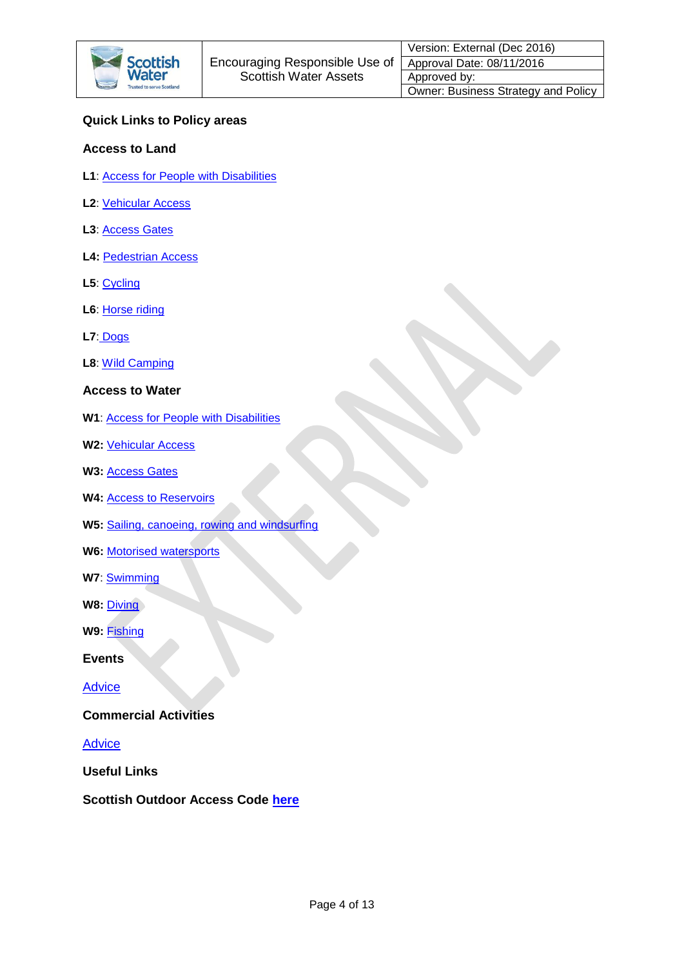

# **Quick Links to Policy areas**

## **Access to Land**

- **L1**: **Access for People with Disabilities**
- **L2**: [Vehicular Access](#page-4-1)
- **L3**: [Access Gates](#page-4-2)
- **L4:** [Pedestrian Access](#page-4-3)
- **L5**: [Cycling](#page-5-0)
- **L6**: [Horse riding](#page-5-1)
- **L7**: [Dogs](#page-5-2)
- **L8**: [Wild Camping](#page-5-3)
- **Access to Water**
- **W1**: [Access for People with Disabilities](#page-6-0)
- **W2:** [Vehicular Access](#page-6-1)
- W<sub>3</sub>: [Access Gates](#page-6-2)
- **W4:** [Access to Reservoirs](#page-6-3)
- **W5:** [Sailing, canoeing, rowing and windsurfing](#page-7-0)
- **W6:** [Motorised watersports](#page-7-1)
- **W7**: [Swimming](#page-7-2)
- **W8: [Diving](#page-8-0)**
- **W9:** [Fishing](#page-8-1)
- **Events**

**[Advice](#page-9-0)** 

## **Commercial Activities**

**[Advice](#page-10-0)** 

**Useful Links**

**Scottish Outdoor Access Code [here](http://www.outdooraccess-scotland.com/)**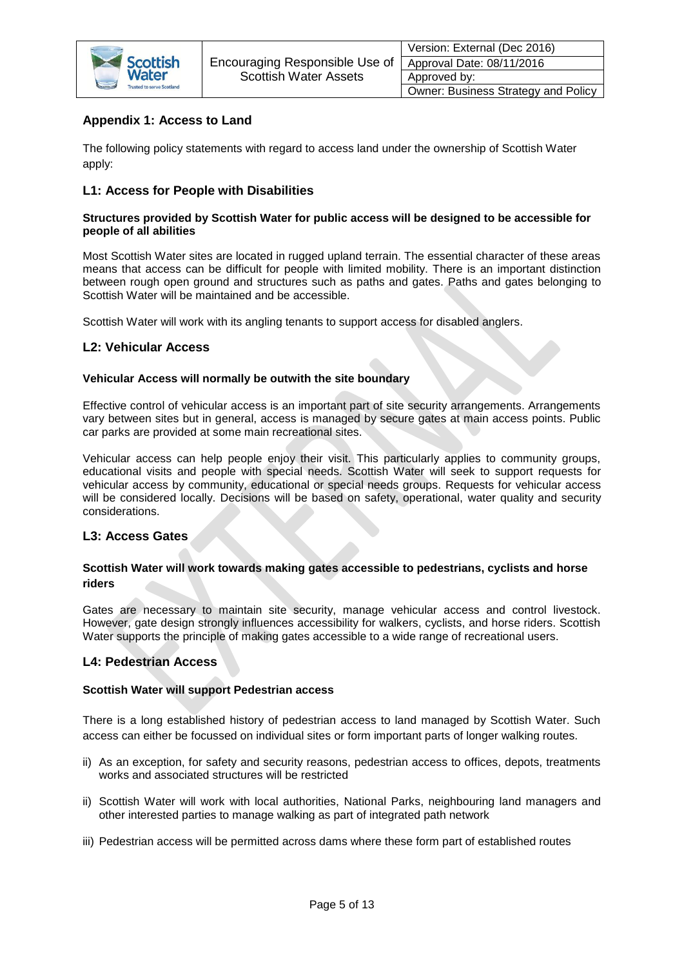

# **Appendix 1: Access to Land**

The following policy statements with regard to access land under the ownership of Scottish Water apply:

## <span id="page-4-0"></span>**L1: Access for People with Disabilities**

#### **Structures provided by Scottish Water for public access will be designed to be accessible for people of all abilities**

Most Scottish Water sites are located in rugged upland terrain. The essential character of these areas means that access can be difficult for people with limited mobility. There is an important distinction between rough open ground and structures such as paths and gates. Paths and gates belonging to Scottish Water will be maintained and be accessible.

Scottish Water will work with its angling tenants to support access for disabled anglers.

## <span id="page-4-1"></span>**L2: Vehicular Access**

#### **Vehicular Access will normally be outwith the site boundary**

Effective control of vehicular access is an important part of site security arrangements. Arrangements vary between sites but in general, access is managed by secure gates at main access points. Public car parks are provided at some main recreational sites.

Vehicular access can help people enjoy their visit. This particularly applies to community groups, educational visits and people with special needs. Scottish Water will seek to support requests for vehicular access by community, educational or special needs groups. Requests for vehicular access will be considered locally. Decisions will be based on safety, operational, water quality and security considerations.

## <span id="page-4-2"></span>**L3: Access Gates**

## **Scottish Water will work towards making gates accessible to pedestrians, cyclists and horse riders**

Gates are necessary to maintain site security, manage vehicular access and control livestock. However, gate design strongly influences accessibility for walkers, cyclists, and horse riders. Scottish Water supports the principle of making gates accessible to a wide range of recreational users.

## <span id="page-4-3"></span>**L4: Pedestrian Access**

## **Scottish Water will support Pedestrian access**

There is a long established history of pedestrian access to land managed by Scottish Water. Such access can either be focussed on individual sites or form important parts of longer walking routes.

- ii) As an exception, for safety and security reasons, pedestrian access to offices, depots, treatments works and associated structures will be restricted
- ii) Scottish Water will work with local authorities, National Parks, neighbouring land managers and other interested parties to manage walking as part of integrated path network
- iii) Pedestrian access will be permitted across dams where these form part of established routes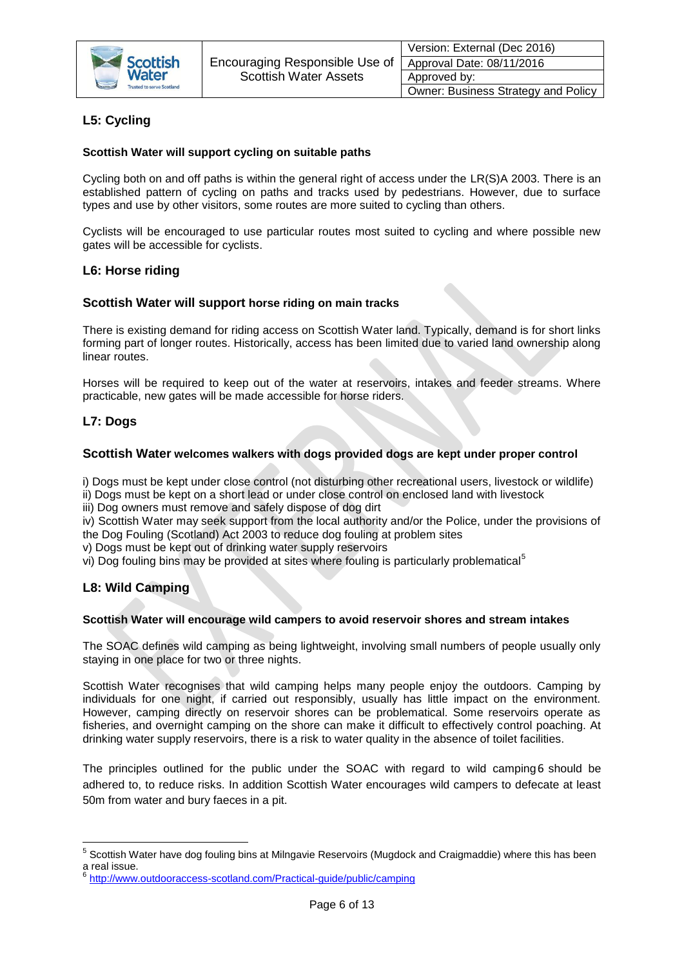

# <span id="page-5-0"></span>**L5: Cycling**

### **Scottish Water will support cycling on suitable paths**

Cycling both on and off paths is within the general right of access under the LR(S)A 2003. There is an established pattern of cycling on paths and tracks used by pedestrians. However, due to surface types and use by other visitors, some routes are more suited to cycling than others.

Cyclists will be encouraged to use particular routes most suited to cycling and where possible new gates will be accessible for cyclists.

## <span id="page-5-1"></span>**L6: Horse riding**

#### **Scottish Water will support horse riding on main tracks**

There is existing demand for riding access on Scottish Water land. Typically, demand is for short links forming part of longer routes. Historically, access has been limited due to varied land ownership along linear routes.

Horses will be required to keep out of the water at reservoirs, intakes and feeder streams. Where practicable, new gates will be made accessible for horse riders.

## <span id="page-5-2"></span>**L7: Dogs**

#### **Scottish Water welcomes walkers with dogs provided dogs are kept under proper control**

i) Dogs must be kept under close control (not disturbing other recreational users, livestock or wildlife)

ii) Dogs must be kept on a short lead or under close control on enclosed land with livestock

iii) Dog owners must remove and safely dispose of dog dirt

iv) Scottish Water may seek support from the local authority and/or the Police, under the provisions of the Dog Fouling (Scotland) Act 2003 to reduce dog fouling at problem sites

v) Dogs must be kept out of drinking water supply reservoirs

vi) Dog fouling bins may be provided at sites where fouling is particularly problematical<sup>5</sup>

## <span id="page-5-3"></span>**L8: Wild Camping**

#### **Scottish Water will encourage wild campers to avoid reservoir shores and stream intakes**

The SOAC defines wild camping as being lightweight, involving small numbers of people usually only staying in one place for two or three nights.

Scottish Water recognises that wild camping helps many people enjoy the outdoors. Camping by individuals for one night, if carried out responsibly, usually has little impact on the environment. However, camping directly on reservoir shores can be problematical. Some reservoirs operate as fisheries, and overnight camping on the shore can make it difficult to effectively control poaching. At drinking water supply reservoirs, there is a risk to water quality in the absence of toilet facilities.

The principles outlined for the public under the SOAC with regard to wild camping6 should be adhered to, to reduce risks. In addition Scottish Water encourages wild campers to defecate at least 50m from water and bury faeces in a pit.

 5 Scottish Water have dog fouling bins at Milngavie Reservoirs (Mugdock and Craigmaddie) where this has been a real issue.<br><sup>6</sup> http://www.

<http://www.outdooraccess-scotland.com/Practical-guide/public/camping>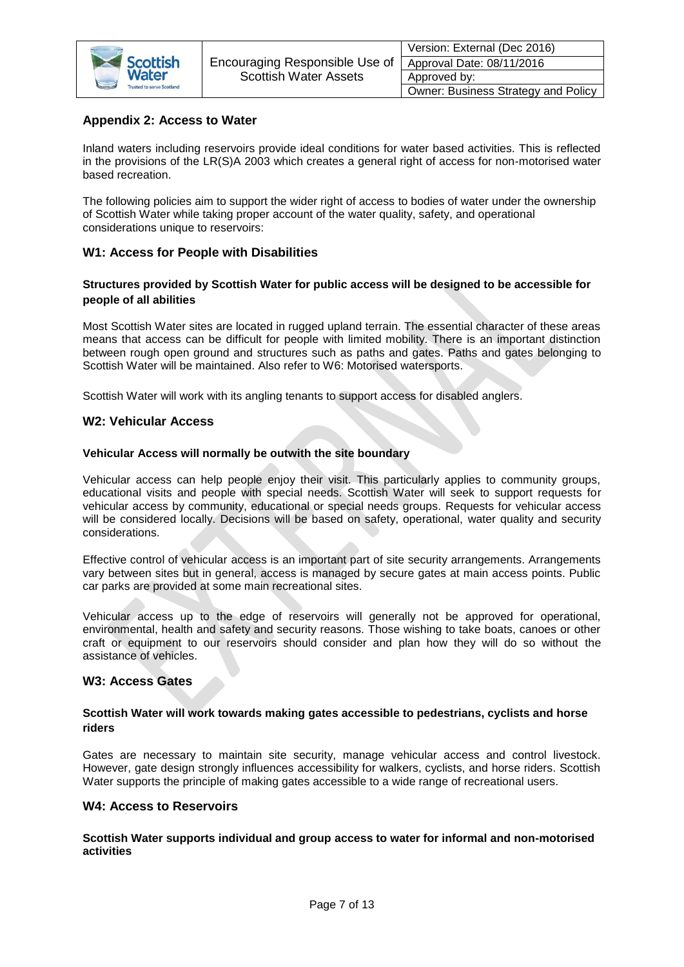

|  | Version: External (Dec 2016)        |
|--|-------------------------------------|
|  | Approval Date: 08/11/2016           |
|  | Approved by:                        |
|  | Owner: Business Strategy and Policy |

## **Appendix 2: Access to Water**

Inland waters including reservoirs provide ideal conditions for water based activities. This is reflected in the provisions of the LR(S)A 2003 which creates a general right of access for non-motorised water based recreation.

The following policies aim to support the wider right of access to bodies of water under the ownership of Scottish Water while taking proper account of the water quality, safety, and operational considerations unique to reservoirs:

## <span id="page-6-0"></span>**W1: Access for People with Disabilities**

## **Structures provided by Scottish Water for public access will be designed to be accessible for people of all abilities**

Most Scottish Water sites are located in rugged upland terrain. The essential character of these areas means that access can be difficult for people with limited mobility. There is an important distinction between rough open ground and structures such as paths and gates. Paths and gates belonging to Scottish Water will be maintained. Also refer to W6: Motorised watersports.

Scottish Water will work with its angling tenants to support access for disabled anglers.

## <span id="page-6-1"></span>**W2: Vehicular Access**

#### **Vehicular Access will normally be outwith the site boundary**

Vehicular access can help people enjoy their visit. This particularly applies to community groups, educational visits and people with special needs. Scottish Water will seek to support requests for vehicular access by community, educational or special needs groups. Requests for vehicular access will be considered locally. Decisions will be based on safety, operational, water quality and security considerations.

Effective control of vehicular access is an important part of site security arrangements. Arrangements vary between sites but in general, access is managed by secure gates at main access points. Public car parks are provided at some main recreational sites.

Vehicular access up to the edge of reservoirs will generally not be approved for operational, environmental, health and safety and security reasons. Those wishing to take boats, canoes or other craft or equipment to our reservoirs should consider and plan how they will do so without the assistance of vehicles.

## <span id="page-6-2"></span>**W3: Access Gates**

#### **Scottish Water will work towards making gates accessible to pedestrians, cyclists and horse riders**

Gates are necessary to maintain site security, manage vehicular access and control livestock. However, gate design strongly influences accessibility for walkers, cyclists, and horse riders. Scottish Water supports the principle of making gates accessible to a wide range of recreational users.

#### <span id="page-6-3"></span>**W4: Access to Reservoirs**

#### **Scottish Water supports individual and group access to water for informal and non-motorised activities**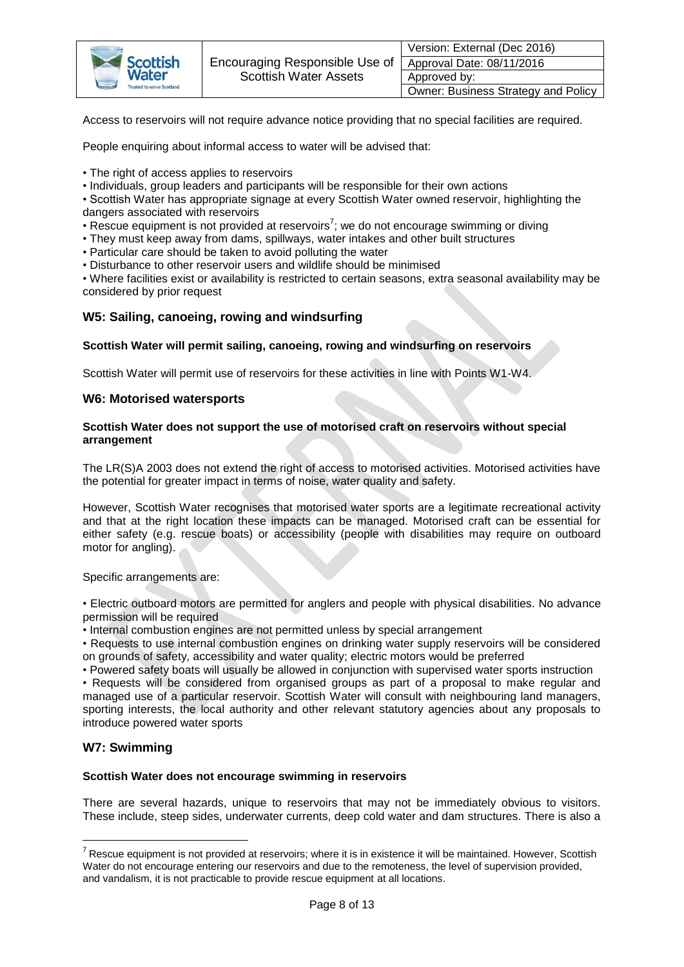

| Version: External (Dec 2016)        |
|-------------------------------------|
| Approval Date: 08/11/2016           |
| Approved by:                        |
| Owner: Business Strategy and Policy |

Access to reservoirs will not require advance notice providing that no special facilities are required.

People enquiring about informal access to water will be advised that:

- The right of access applies to reservoirs
- Individuals, group leaders and participants will be responsible for their own actions

• Scottish Water has appropriate signage at every Scottish Water owned reservoir, highlighting the dangers associated with reservoirs

- Rescue equipment is not provided at reservoirs<sup>7</sup>; we do not encourage swimming or diving
- They must keep away from dams, spillways, water intakes and other built structures
- Particular care should be taken to avoid polluting the water
- Disturbance to other reservoir users and wildlife should be minimised

• Where facilities exist or availability is restricted to certain seasons, extra seasonal availability may be considered by prior request

#### <span id="page-7-0"></span>**W5: Sailing, canoeing, rowing and windsurfing**

#### **Scottish Water will permit sailing, canoeing, rowing and windsurfing on reservoirs**

<span id="page-7-1"></span>Scottish Water will permit use of reservoirs for these activities in line with Points W1-W4.

#### **W6: Motorised watersports**

#### **Scottish Water does not support the use of motorised craft on reservoirs without special arrangement**

The LR(S)A 2003 does not extend the right of access to motorised activities. Motorised activities have the potential for greater impact in terms of noise, water quality and safety.

However, Scottish Water recognises that motorised water sports are a legitimate recreational activity and that at the right location these impacts can be managed. Motorised craft can be essential for either safety (e.g. rescue boats) or accessibility (people with disabilities may require on outboard motor for angling).

Specific arrangements are:

• Electric outboard motors are permitted for anglers and people with physical disabilities. No advance permission will be required

• Internal combustion engines are not permitted unless by special arrangement

• Requests to use internal combustion engines on drinking water supply reservoirs will be considered on grounds of safety, accessibility and water quality; electric motors would be preferred

• Powered safety boats will usually be allowed in conjunction with supervised water sports instruction • Requests will be considered from organised groups as part of a proposal to make regular and managed use of a particular reservoir. Scottish Water will consult with neighbouring land managers, sporting interests, the local authority and other relevant statutory agencies about any proposals to introduce powered water sports

## <span id="page-7-2"></span>**W7: Swimming**

**.** 

#### **Scottish Water does not encourage swimming in reservoirs**

There are several hazards, unique to reservoirs that may not be immediately obvious to visitors. These include, steep sides, underwater currents, deep cold water and dam structures. There is also a

 $^7$  Rescue equipment is not provided at reservoirs; where it is in existence it will be maintained. However, Scottish Water do not encourage entering our reservoirs and due to the remoteness, the level of supervision provided, and vandalism, it is not practicable to provide rescue equipment at all locations.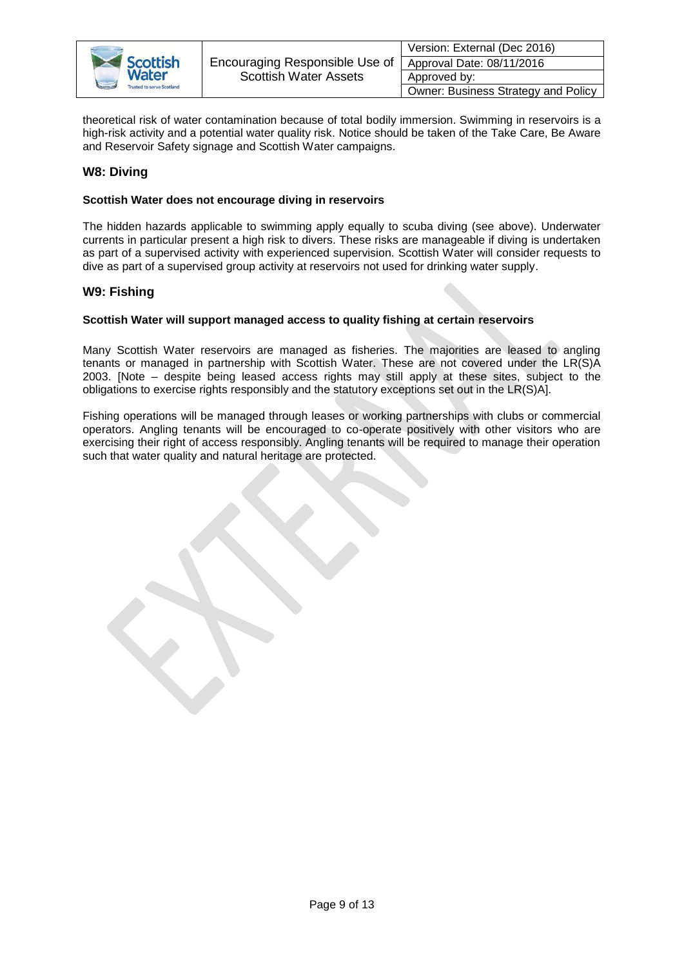

|    | Version: External (Dec 2016)        |
|----|-------------------------------------|
| οf | Approval Date: 08/11/2016           |
|    | Approved by:                        |
|    | Owner: Business Strategy and Policy |

theoretical risk of water contamination because of total bodily immersion. Swimming in reservoirs is a high-risk activity and a potential water quality risk. Notice should be taken of the Take Care, Be Aware and Reservoir Safety signage and Scottish Water campaigns.

## <span id="page-8-0"></span>**W8: Diving**

### **Scottish Water does not encourage diving in reservoirs**

The hidden hazards applicable to swimming apply equally to scuba diving (see above). Underwater currents in particular present a high risk to divers. These risks are manageable if diving is undertaken as part of a supervised activity with experienced supervision. Scottish Water will consider requests to dive as part of a supervised group activity at reservoirs not used for drinking water supply.

## <span id="page-8-1"></span>**W9: Fishing**

#### **Scottish Water will support managed access to quality fishing at certain reservoirs**

Many Scottish Water reservoirs are managed as fisheries. The majorities are leased to angling tenants or managed in partnership with Scottish Water. These are not covered under the LR(S)A 2003. [Note – despite being leased access rights may still apply at these sites, subject to the obligations to exercise rights responsibly and the statutory exceptions set out in the LR(S)A].

Fishing operations will be managed through leases or working partnerships with clubs or commercial operators. Angling tenants will be encouraged to co-operate positively with other visitors who are exercising their right of access responsibly. Angling tenants will be required to manage their operation such that water quality and natural heritage are protected.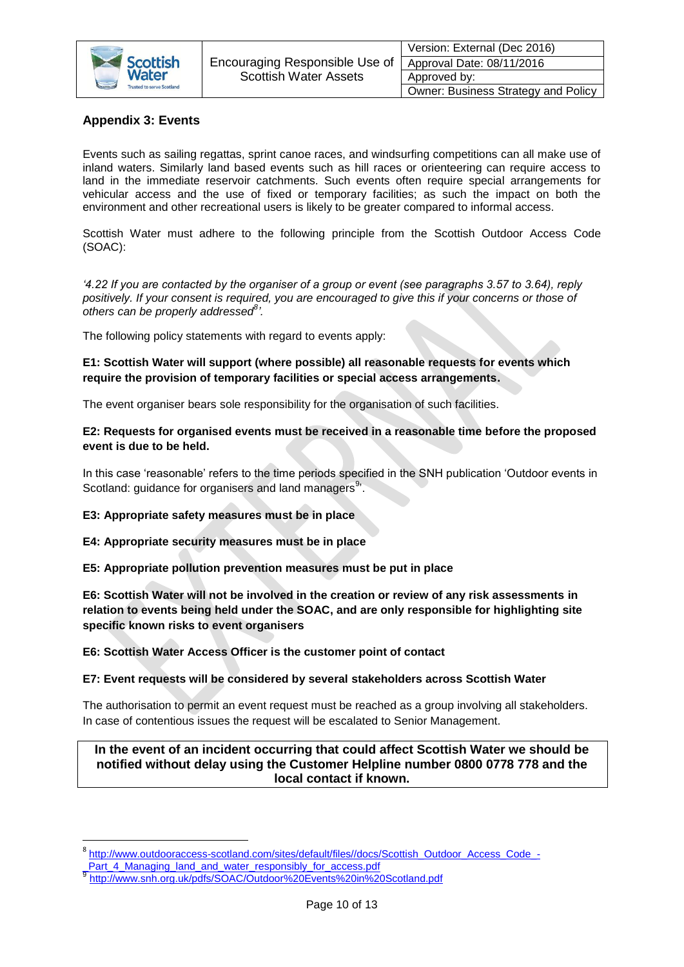

| Version: External (Dec 2016)        |
|-------------------------------------|
| Approval Date: 08/11/2016           |
| Approved by:                        |
| Owner: Business Strategy and Policy |

# <span id="page-9-0"></span>**Appendix 3: Events**

Events such as sailing regattas, sprint canoe races, and windsurfing competitions can all make use of inland waters. Similarly land based events such as hill races or orienteering can require access to land in the immediate reservoir catchments. Such events often require special arrangements for vehicular access and the use of fixed or temporary facilities; as such the impact on both the environment and other recreational users is likely to be greater compared to informal access.

Scottish Water must adhere to the following principle from the Scottish Outdoor Access Code (SOAC):

*'4.22 If you are contacted by the organiser of a group or event (see paragraphs 3.57 to 3.64), reply positively. If your consent is required, you are encouraged to give this if your concerns or those of others can be properly addressed<sup>8</sup> '.*

The following policy statements with regard to events apply:

**E1: Scottish Water will support (where possible) all reasonable requests for events which require the provision of temporary facilities or special access arrangements.** 

The event organiser bears sole responsibility for the organisation of such facilities.

## **E2: Requests for organised events must be received in a reasonable time before the proposed event is due to be held.**

In this case 'reasonable' refers to the time periods specified in the SNH publication 'Outdoor events in Scotland: guidance for organisers and land managers<sup>9</sup>.

## **E3: Appropriate safety measures must be in place**

**E4: Appropriate security measures must be in place**

**E5: Appropriate pollution prevention measures must be put in place**

**E6: Scottish Water will not be involved in the creation or review of any risk assessments in relation to events being held under the SOAC, and are only responsible for highlighting site specific known risks to event organisers**

#### **E6: Scottish Water Access Officer is the customer point of contact**

## **E7: Event requests will be considered by several stakeholders across Scottish Water**

The authorisation to permit an event request must be reached as a group involving all stakeholders. In case of contentious issues the request will be escalated to Senior Management.

## **In the event of an incident occurring that could affect Scottish Water we should be notified without delay using the Customer Helpline number 0800 0778 778 and the local contact if known.**

**.** 

<sup>8</sup> [http://www.outdooraccess-scotland.com/sites/default/files//docs/Scottish\\_Outdoor\\_Access\\_Code\\_-](http://www.outdooraccess-scotland.com/sites/default/files/docs/Scottish_Outdoor_Access_Code_-_Part_4_Managing_land_and_water_responsibly_for_access.pdf)

[\\_Part\\_4\\_Managing\\_land\\_and\\_water\\_responsibly\\_for\\_access.pdf](http://www.outdooraccess-scotland.com/sites/default/files/docs/Scottish_Outdoor_Access_Code_-_Part_4_Managing_land_and_water_responsibly_for_access.pdf)

<sup>9</sup> <http://www.snh.org.uk/pdfs/SOAC/Outdoor%20Events%20in%20Scotland.pdf>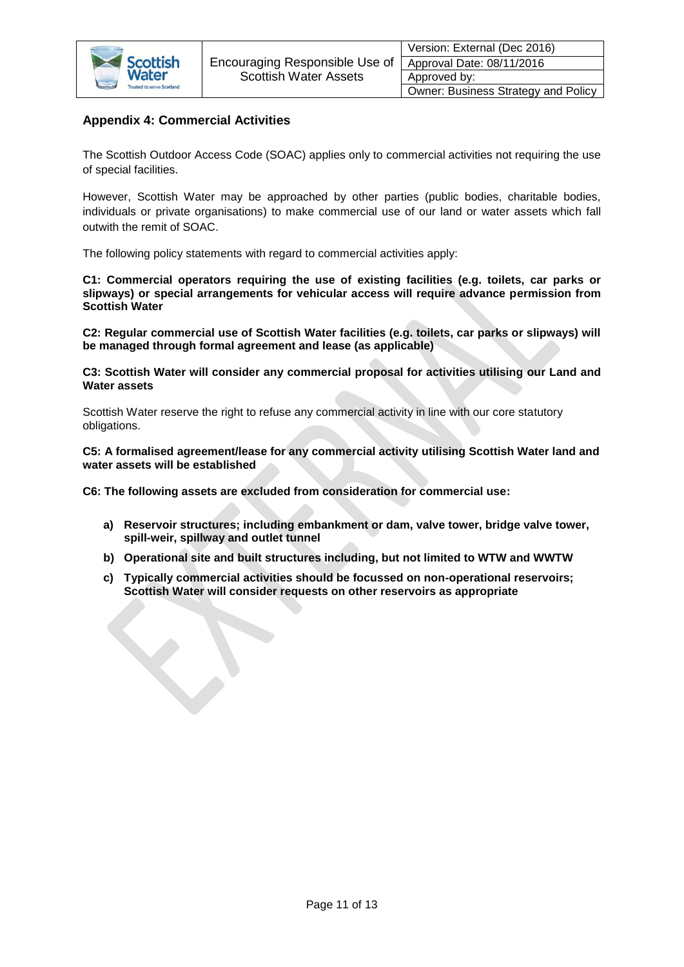

## <span id="page-10-0"></span>**Appendix 4: Commercial Activities**

 $\langle$ 

The Scottish Outdoor Access Code (SOAC) applies only to commercial activities not requiring the use of special facilities.

However, Scottish Water may be approached by other parties (public bodies, charitable bodies, individuals or private organisations) to make commercial use of our land or water assets which fall outwith the remit of SOAC.

The following policy statements with regard to commercial activities apply:

**C1: Commercial operators requiring the use of existing facilities (e.g. toilets, car parks or slipways) or special arrangements for vehicular access will require advance permission from Scottish Water** 

**C2: Regular commercial use of Scottish Water facilities (e.g. toilets, car parks or slipways) will be managed through formal agreement and lease (as applicable)**

**C3: Scottish Water will consider any commercial proposal for activities utilising our Land and Water assets**

Scottish Water reserve the right to refuse any commercial activity in line with our core statutory obligations.

**C5: A formalised agreement/lease for any commercial activity utilising Scottish Water land and water assets will be established**

**C6: The following assets are excluded from consideration for commercial use:**

- **a) Reservoir structures; including embankment or dam, valve tower, bridge valve tower, spill-weir, spillway and outlet tunnel**
- **b) Operational site and built structures including, but not limited to WTW and WWTW**
- **c) Typically commercial activities should be focussed on non-operational reservoirs; Scottish Water will consider requests on other reservoirs as appropriate**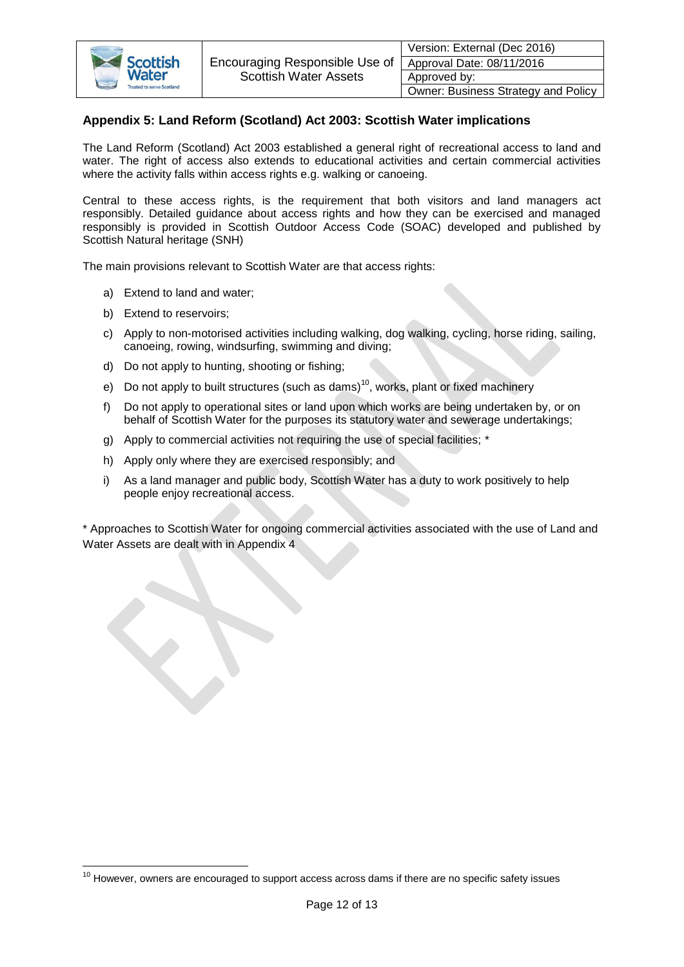

# **Appendix 5: Land Reform (Scotland) Act 2003: Scottish Water implications**

The Land Reform (Scotland) Act 2003 established a general right of recreational access to land and water. The right of access also extends to educational activities and certain commercial activities where the activity falls within access rights e.g. walking or canoeing.

Central to these access rights, is the requirement that both visitors and land managers act responsibly. Detailed guidance about access rights and how they can be exercised and managed responsibly is provided in Scottish Outdoor Access Code (SOAC) developed and published by Scottish Natural heritage (SNH)

The main provisions relevant to Scottish Water are that access rights:

- a) Extend to land and water;
- b) Extend to reservoirs;

**.** 

- c) Apply to non-motorised activities including walking, dog walking, cycling, horse riding, sailing, canoeing, rowing, windsurfing, swimming and diving;
- d) Do not apply to hunting, shooting or fishing;
- e) Do not apply to built structures (such as dams)<sup>10</sup>, works, plant or fixed machinery
- f) Do not apply to operational sites or land upon which works are being undertaken by, or on behalf of Scottish Water for the purposes its statutory water and sewerage undertakings;
- g) Apply to commercial activities not requiring the use of special facilities; \*
- h) Apply only where they are exercised responsibly; and
- i) As a land manager and public body, Scottish Water has a duty to work positively to help people enjoy recreational access.

\* Approaches to Scottish Water for ongoing commercial activities associated with the use of Land and Water Assets are dealt with in Appendix 4

 $10$  However, owners are encouraged to support access across dams if there are no specific safety issues